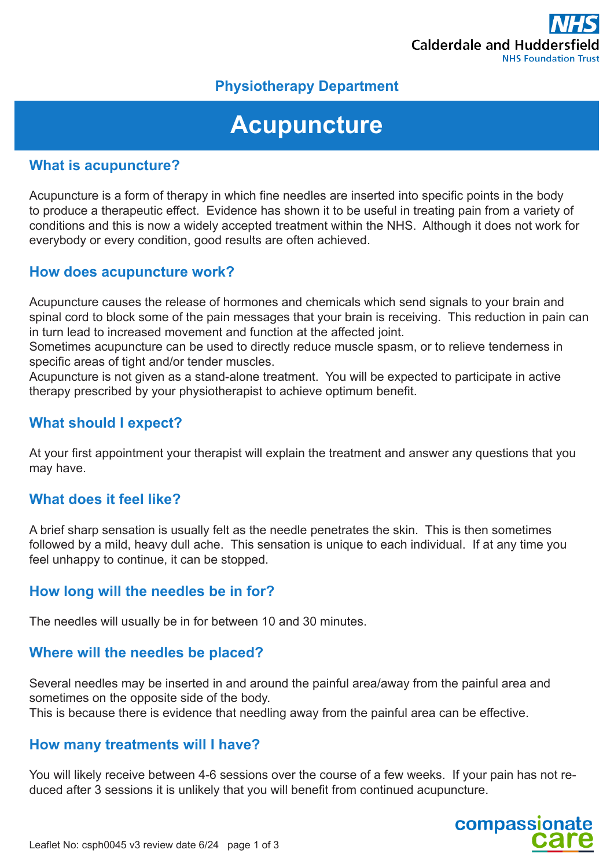

## **Physiotherapy Department**

# **Acupuncture**

#### **What is acupuncture?**

Acupuncture is a form of therapy in which fine needles are inserted into specific points in the body to produce a therapeutic effect. Evidence has shown it to be useful in treating pain from a variety of conditions and this is now a widely accepted treatment within the NHS. Although it does not work for everybody or every condition, good results are often achieved.

#### **How does acupuncture work?**

Acupuncture causes the release of hormones and chemicals which send signals to your brain and spinal cord to block some of the pain messages that your brain is receiving. This reduction in pain can in turn lead to increased movement and function at the affected joint.

Sometimes acupuncture can be used to directly reduce muscle spasm, or to relieve tenderness in specific areas of tight and/or tender muscles.

Acupuncture is not given as a stand-alone treatment. You will be expected to participate in active therapy prescribed by your physiotherapist to achieve optimum benefit.

### **What should I expect?**

At your first appointment your therapist will explain the treatment and answer any questions that you may have.

#### **What does it feel like?**

A brief sharp sensation is usually felt as the needle penetrates the skin. This is then sometimes followed by a mild, heavy dull ache. This sensation is unique to each individual. If at any time you feel unhappy to continue, it can be stopped.

#### **How long will the needles be in for?**

The needles will usually be in for between 10 and 30 minutes.

#### **Where will the needles be placed?**

Several needles may be inserted in and around the painful area/away from the painful area and sometimes on the opposite side of the body. This is because there is evidence that needling away from the painful area can be effective.

#### **How many treatments will I have?**

You will likely receive between 4-6 sessions over the course of a few weeks. If your pain has not reduced after 3 sessions it is unlikely that you will benefit from continued acupuncture.

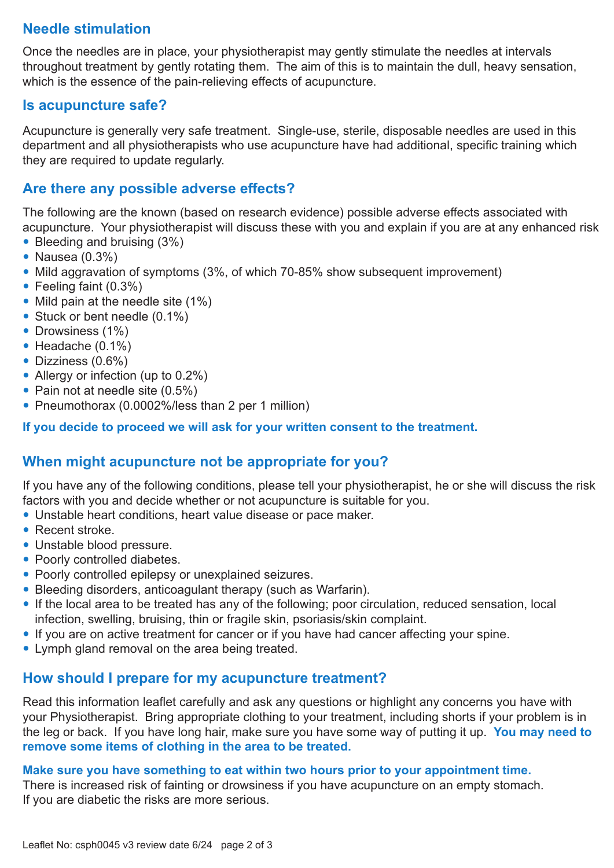## **Needle stimulation**

Once the needles are in place, your physiotherapist may gently stimulate the needles at intervals throughout treatment by gently rotating them. The aim of this is to maintain the dull, heavy sensation, which is the essence of the pain-relieving effects of acupuncture.

#### **Is acupuncture safe?**

Acupuncture is generally very safe treatment. Single-use, sterile, disposable needles are used in this department and all physiotherapists who use acupuncture have had additional, specific training which they are required to update regularly.

## **Are there any possible adverse effects?**

The following are the known (based on research evidence) possible adverse effects associated with acupuncture. Your physiotherapist will discuss these with you and explain if you are at any enhanced risk

- Bleeding and bruising (3%)
- Nausea (0.3%)
- Mild aggravation of symptoms (3%, of which 70-85% show subsequent improvement)
- Feeling faint (0.3%)
- Mild pain at the needle site (1%)
- Stuck or bent needle (0.1%)
- Drowsiness (1%)
- $\bullet$  Headache (0.1%)
- Dizziness (0.6%)
- Allergy or infection (up to 0.2%)
- Pain not at needle site (0.5%)
- Pneumothorax (0.0002%/less than 2 per 1 million)

**If you decide to proceed we will ask for your written consent to the treatment.**

## **When might acupuncture not be appropriate for you?**

If you have any of the following conditions, please tell your physiotherapist, he or she will discuss the risk factors with you and decide whether or not acupuncture is suitable for you.

- Unstable heart conditions, heart value disease or pace maker.
- **Recent stroke**
- Unstable blood pressure.
- Poorly controlled diabetes.
- Poorly controlled epilepsy or unexplained seizures.
- Bleeding disorders, anticoagulant therapy (such as Warfarin).
- If the local area to be treated has any of the following; poor circulation, reduced sensation, local infection, swelling, bruising, thin or fragile skin, psoriasis/skin complaint.
- If you are on active treatment for cancer or if you have had cancer affecting your spine.
- Lymph gland removal on the area being treated.

## **How should I prepare for my acupuncture treatment?**

Read this information leaflet carefully and ask any questions or highlight any concerns you have with your Physiotherapist. Bring appropriate clothing to your treatment, including shorts if your problem is in the leg or back. If you have long hair, make sure you have some way of putting it up. **You may need to remove some items of clothing in the area to be treated.**

#### **Make sure you have something to eat within two hours prior to your appointment time.**

There is increased risk of fainting or drowsiness if you have acupuncture on an empty stomach. If you are diabetic the risks are more serious.